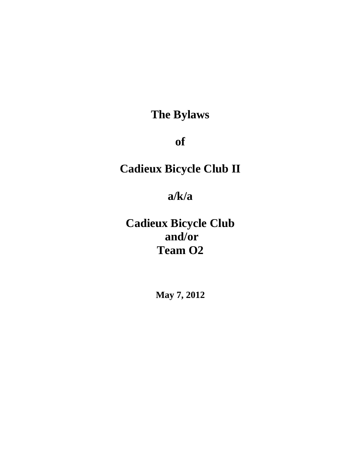**The Bylaws** 

**of** 

# **Cadieux Bicycle Club II**

**a/k/a** 

**Cadieux Bicycle Club and/or Team O2** 

**May 7, 2012**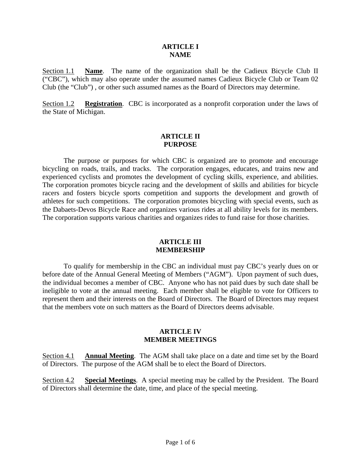#### **ARTICLE I NAME**

Section 1.1 **Name**. The name of the organization shall be the Cadieux Bicycle Club II ("CBC"), which may also operate under the assumed names Cadieux Bicycle Club or Team 02 Club (the "Club") , or other such assumed names as the Board of Directors may determine.

Section 1.2 **Registration**. CBC is incorporated as a nonprofit corporation under the laws of the State of Michigan.

### **ARTICLE II PURPOSE**

The purpose or purposes for which CBC is organized are to promote and encourage bicycling on roads, trails, and tracks. The corporation engages, educates, and trains new and experienced cyclists and promotes the development of cycling skills, experience, and abilities. The corporation promotes bicycle racing and the development of skills and abilities for bicycle racers and fosters bicycle sports competition and supports the development and growth of athletes for such competitions. The corporation promotes bicycling with special events, such as the Dabaets-Devos Bicycle Race and organizes various rides at all ability levels for its members. The corporation supports various charities and organizes rides to fund raise for those charities.

#### **ARTICLE III MEMBERSHIP**

To qualify for membership in the CBC an individual must pay CBC's yearly dues on or before date of the Annual General Meeting of Members ("AGM"). Upon payment of such dues, the individual becomes a member of CBC. Anyone who has not paid dues by such date shall be ineligible to vote at the annual meeting. Each member shall be eligible to vote for Officers to represent them and their interests on the Board of Directors. The Board of Directors may request that the members vote on such matters as the Board of Directors deems advisable.

#### **ARTICLE IV MEMBER MEETINGS**

Section 4.1 **Annual Meeting**. The AGM shall take place on a date and time set by the Board of Directors. The purpose of the AGM shall be to elect the Board of Directors.

Section 4.2 **Special Meetings**. A special meeting may be called by the President. The Board of Directors shall determine the date, time, and place of the special meeting.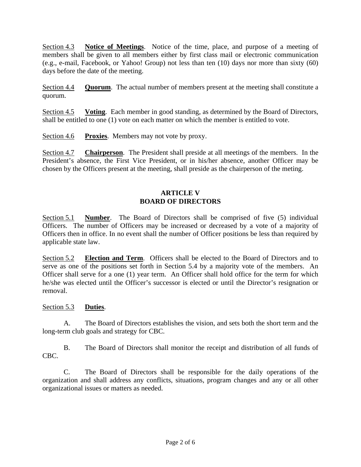Section 4.3 **Notice of Meetings**. Notice of the time, place, and purpose of a meeting of members shall be given to all members either by first class mail or electronic communication (e.g., e-mail, Facebook, or Yahoo! Group) not less than ten (10) days nor more than sixty (60) days before the date of the meeting.

Section 4.4 **Quorum**. The actual number of members present at the meeting shall constitute a quorum.

Section 4.5 **Voting**. Each member in good standing, as determined by the Board of Directors, shall be entitled to one (1) vote on each matter on which the member is entitled to vote.

Section 4.6 **Proxies**. Members may not vote by proxy.

Section 4.7 **Chairperson**. The President shall preside at all meetings of the members. In the President's absence, the First Vice President, or in his/her absence, another Officer may be chosen by the Officers present at the meeting, shall preside as the chairperson of the meting.

## **ARTICLE V BOARD OF DIRECTORS**

Section 5.1 **Number**. The Board of Directors shall be comprised of five (5) individual Officers. The number of Officers may be increased or decreased by a vote of a majority of Officers then in office. In no event shall the number of Officer positions be less than required by applicable state law.

Section 5.2 **Election and Term**. Officers shall be elected to the Board of Directors and to serve as one of the positions set forth in Section 5.4 by a majority vote of the members. An Officer shall serve for a one (1) year term. An Officer shall hold office for the term for which he/she was elected until the Officer's successor is elected or until the Director's resignation or removal.

## Section 5.3 **Duties**.

A. The Board of Directors establishes the vision, and sets both the short term and the long-term club goals and strategy for CBC.

B. The Board of Directors shall monitor the receipt and distribution of all funds of CBC.

C. The Board of Directors shall be responsible for the daily operations of the organization and shall address any conflicts, situations, program changes and any or all other organizational issues or matters as needed.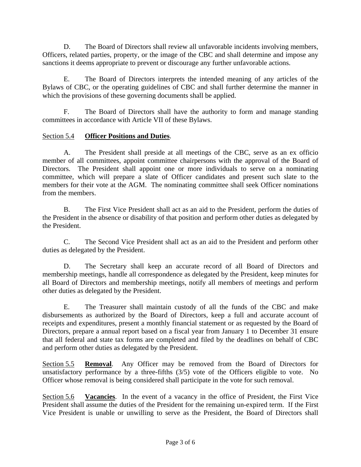D. The Board of Directors shall review all unfavorable incidents involving members, Officers, related parties, property, or the image of the CBC and shall determine and impose any sanctions it deems appropriate to prevent or discourage any further unfavorable actions.

E. The Board of Directors interprets the intended meaning of any articles of the Bylaws of CBC, or the operating guidelines of CBC and shall further determine the manner in which the provisions of these governing documents shall be applied.

 F. The Board of Directors shall have the authority to form and manage standing committees in accordance with Article VII of these Bylaws.

## Section 5.4 **Officer Positions and Duties**.

A. The President shall preside at all meetings of the CBC, serve as an ex officio member of all committees, appoint committee chairpersons with the approval of the Board of Directors. The President shall appoint one or more individuals to serve on a nominating committee, which will prepare a slate of Officer candidates and present such slate to the members for their vote at the AGM. The nominating committee shall seek Officer nominations from the members.

B. The First Vice President shall act as an aid to the President, perform the duties of the President in the absence or disability of that position and perform other duties as delegated by the President.

C. The Second Vice President shall act as an aid to the President and perform other duties as delegated by the President.

D. The Secretary shall keep an accurate record of all Board of Directors and membership meetings, handle all correspondence as delegated by the President, keep minutes for all Board of Directors and membership meetings, notify all members of meetings and perform other duties as delegated by the President.

E. The Treasurer shall maintain custody of all the funds of the CBC and make disbursements as authorized by the Board of Directors, keep a full and accurate account of receipts and expenditures, present a monthly financial statement or as requested by the Board of Directors, prepare a annual report based on a fiscal year from January 1 to December 31 ensure that all federal and state tax forms are completed and filed by the deadlines on behalf of CBC and perform other duties as delegated by the President.

Section 5.5 **Removal**. Any Officer may be removed from the Board of Directors for unsatisfactory performance by a three-fifths (3/5) vote of the Officers eligible to vote. No Officer whose removal is being considered shall participate in the vote for such removal.

Section 5.6 **Vacancies**. In the event of a vacancy in the office of President, the First Vice President shall assume the duties of the President for the remaining un-expired term. If the First Vice President is unable or unwilling to serve as the President, the Board of Directors shall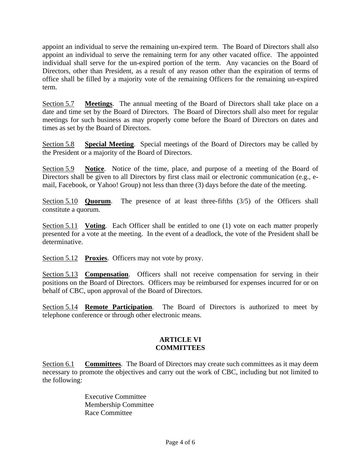appoint an individual to serve the remaining un-expired term. The Board of Directors shall also appoint an individual to serve the remaining term for any other vacated office. The appointed individual shall serve for the un-expired portion of the term. Any vacancies on the Board of Directors, other than President, as a result of any reason other than the expiration of terms of office shall be filled by a majority vote of the remaining Officers for the remaining un-expired term.

Section 5.7 **Meetings**. The annual meeting of the Board of Directors shall take place on a date and time set by the Board of Directors. The Board of Directors shall also meet for regular meetings for such business as may properly come before the Board of Directors on dates and times as set by the Board of Directors.

Section 5.8 **Special Meeting**. Special meetings of the Board of Directors may be called by the President or a majority of the Board of Directors.

Section 5.9 **Notice**. Notice of the time, place, and purpose of a meeting of the Board of Directors shall be given to all Directors by first class mail or electronic communication (e.g., email, Facebook, or Yahoo! Group) not less than three (3) days before the date of the meeting.

Section 5.10 **Quorum**. The presence of at least three-fifths (3/5) of the Officers shall constitute a quorum.

Section 5.11 **Voting**. Each Officer shall be entitled to one (1) vote on each matter properly presented for a vote at the meeting. In the event of a deadlock, the vote of the President shall be determinative.

Section 5.12 **Proxies**. Officers may not vote by proxy.

Section 5.13 **Compensation**. Officers shall not receive compensation for serving in their positions on the Board of Directors. Officers may be reimbursed for expenses incurred for or on behalf of CBC, upon approval of the Board of Directors.

Section 5.14 **Remote Participation**. The Board of Directors is authorized to meet by telephone conference or through other electronic means.

#### **ARTICLE VI COMMITTEES**

Section 6.1 **Committees**. The Board of Directors may create such committees as it may deem necessary to promote the objectives and carry out the work of CBC, including but not limited to the following:

> Executive Committee Membership Committee Race Committee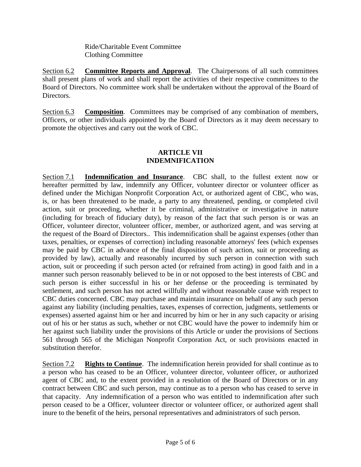Ride/Charitable Event Committee Clothing Committee

Section 6.2 **Committee Reports and Approval**. The Chairpersons of all such committees shall present plans of work and shall report the activities of their respective committees to the Board of Directors. No committee work shall be undertaken without the approval of the Board of Directors.

Section 6.3 **Composition.** Committees may be comprised of any combination of members, Officers, or other individuals appointed by the Board of Directors as it may deem necessary to promote the objectives and carry out the work of CBC.

## **ARTICLE VII INDEMNIFICATION**

Section 7.1 **Indemnification and Insurance**. CBC shall, to the fullest extent now or hereafter permitted by law, indemnify any Officer, volunteer director or volunteer officer as defined under the Michigan Nonprofit Corporation Act, or authorized agent of CBC, who was, is, or has been threatened to be made, a party to any threatened, pending, or completed civil action, suit or proceeding, whether it be criminal, administrative or investigative in nature (including for breach of fiduciary duty), by reason of the fact that such person is or was an Officer, volunteer director, volunteer officer, member, or authorized agent, and was serving at the request of the Board of Directors.. This indemnification shall be against expenses (other than taxes, penalties, or expenses of correction) including reasonable attorneys' fees (which expenses may be paid by CBC in advance of the final disposition of such action, suit or proceeding as provided by law), actually and reasonably incurred by such person in connection with such action, suit or proceeding if such person acted (or refrained from acting) in good faith and in a manner such person reasonably believed to be in or not opposed to the best interests of CBC and such person is either successful in his or her defense or the proceeding is terminated by settlement, and such person has not acted willfully and without reasonable cause with respect to CBC duties concerned. CBC may purchase and maintain insurance on behalf of any such person against any liability (including penalties, taxes, expenses of correction, judgments, settlements or expenses) asserted against him or her and incurred by him or her in any such capacity or arising out of his or her status as such, whether or not CBC would have the power to indemnify him or her against such liability under the provisions of this Article or under the provisions of Sections 561 through 565 of the Michigan Nonprofit Corporation Act, or such provisions enacted in substitution therefor.

Section 7.2 **Rights to Continue**. The indemnification herein provided for shall continue as to a person who has ceased to be an Officer, volunteer director, volunteer officer, or authorized agent of CBC and, to the extent provided in a resolution of the Board of Directors or in any contract between CBC and such person, may continue as to a person who has ceased to serve in that capacity. Any indemnification of a person who was entitled to indemnification after such person ceased to be a Officer, volunteer director or volunteer officer, or authorized agent shall inure to the benefit of the heirs, personal representatives and administrators of such person.